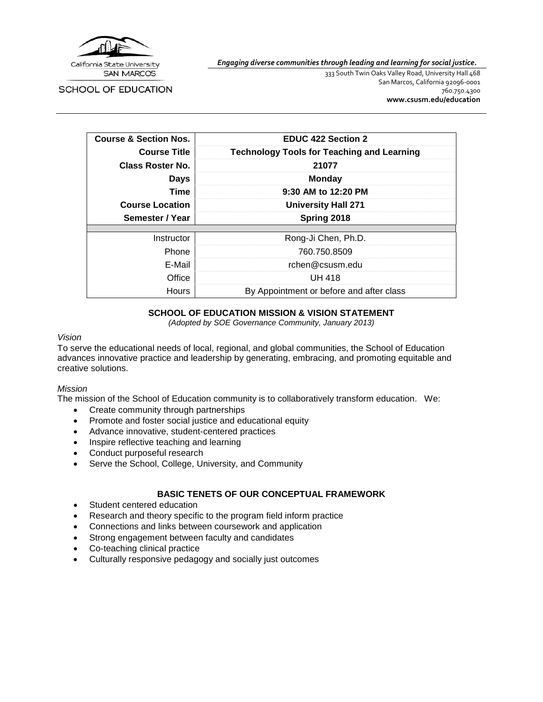

SCHOOL OF EDUCATION

*Engaging diverse communities through leading and learning for social justice.*

333 South Twin Oaks Valley Road, University Hall 468 San Marcos, California 92096-0001 760.750.4300 **[www.csusm.edu/education](http://www.csusm.edu/education)**

| <b>Course &amp; Section Nos.</b> | <b>EDUC 422 Section 2</b>                         |
|----------------------------------|---------------------------------------------------|
| <b>Course Title</b>              | <b>Technology Tools for Teaching and Learning</b> |
| Class Roster No.                 | 21077                                             |
| <b>Days</b>                      | <b>Monday</b>                                     |
| Time                             | 9:30 AM to 12:20 PM                               |
| <b>Course Location</b>           | <b>University Hall 271</b>                        |
| Semester / Year                  | Spring 2018                                       |
|                                  |                                                   |
| Instructor                       | Rong-Ji Chen, Ph.D.                               |
| Phone                            | 760.750.8509                                      |
| E-Mail                           | rchen@csusm.edu                                   |
| Office                           | UH 418                                            |
| Hours                            | By Appointment or before and after class          |

## **SCHOOL OF EDUCATION MISSION & VISION STATEMENT**

*(Adopted by SOE Governance Community, January 2013)*

#### *Vision*

To serve the educational needs of local, regional, and global communities, the School of Education advances innovative practice and leadership by generating, embracing, and promoting equitable and creative solutions.

## *Mission*

The mission of the School of Education community is to collaboratively transform education. We:

- Create community through partnerships
- Promote and foster social justice and educational equity
- Advance innovative, student-centered practices
- Inspire reflective teaching and learning
- Conduct purposeful research
- Serve the School, College, University, and Community

## **BASIC TENETS OF OUR CONCEPTUAL FRAMEWORK**

- Student centered education
- Research and theory specific to the program field inform practice
- Connections and links between coursework and application
- Strong engagement between faculty and candidates
- Co-teaching clinical practice
- Culturally responsive pedagogy and socially just outcomes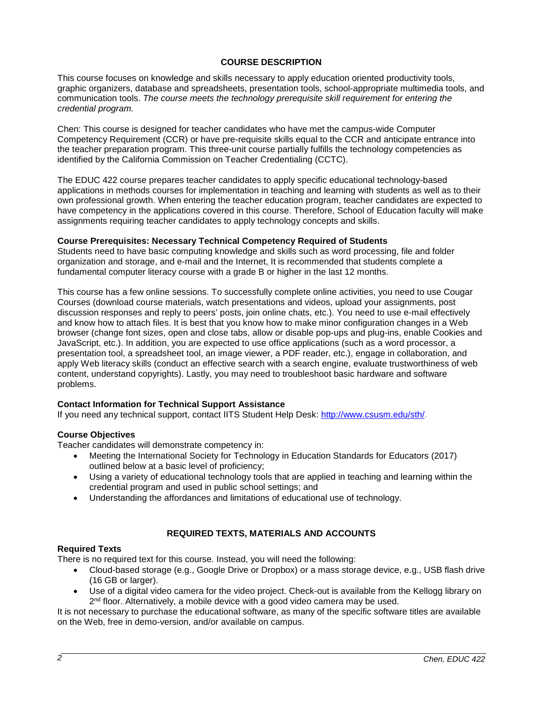## **COURSE DESCRIPTION**

This course focuses on knowledge and skills necessary to apply education oriented productivity tools, graphic organizers, database and spreadsheets, presentation tools, school-appropriate multimedia tools, and communication tools. *The course meets the technology prerequisite skill requirement for entering the credential program.*

Chen: This course is designed for teacher candidates who have met the campus-wide Computer Competency Requirement (CCR) or have pre-requisite skills equal to the CCR and anticipate entrance into the teacher preparation program. This three-unit course partially fulfills the technology competencies as identified by the California Commission on Teacher Credentialing (CCTC).

The EDUC 422 course prepares teacher candidates to apply specific educational technology-based applications in methods courses for implementation in teaching and learning with students as well as to their own professional growth. When entering the teacher education program, teacher candidates are expected to have competency in the applications covered in this course. Therefore, School of Education faculty will make assignments requiring teacher candidates to apply technology concepts and skills.

### **Course Prerequisites: Necessary Technical Competency Required of Students**

Students need to have basic computing knowledge and skills such as word processing, file and folder organization and storage, and e-mail and the Internet, It is recommended that students complete a fundamental computer literacy course with a grade B or higher in the last 12 months.

This course has a few online sessions. To successfully complete online activities, you need to use Cougar Courses (download course materials, watch presentations and videos, upload your assignments, post discussion responses and reply to peers' posts, join online chats, etc.). You need to use e-mail effectively and know how to attach files. It is best that you know how to make minor configuration changes in a Web browser (change font sizes, open and close tabs, allow or disable pop-ups and plug-ins, enable Cookies and JavaScript, etc.). In addition, you are expected to use office applications (such as a word processor, a presentation tool, a spreadsheet tool, an image viewer, a PDF reader, etc.), engage in collaboration, and apply Web literacy skills (conduct an effective search with a search engine, evaluate trustworthiness of web content, understand copyrights). Lastly, you may need to troubleshoot basic hardware and software problems.

## **Contact Information for Technical Support Assistance**

If you need any technical support, contact IITS Student Help Desk: [http://www.csusm.edu/sth/.](http://www.csusm.edu/sth/)

#### **Course Objectives**

Teacher candidates will demonstrate competency in:

- Meeting the International Society for Technology in Education Standards for Educators (2017) outlined below at a basic level of proficiency;
- Using a variety of educational technology tools that are applied in teaching and learning within the credential program and used in public school settings; and
- Understanding the affordances and limitations of educational use of technology.

## **REQUIRED TEXTS, MATERIALS AND ACCOUNTS**

#### **Required Texts**

There is no required text for this course. Instead, you will need the following:

- Cloud-based storage (e.g., Google Drive or Dropbox) or a mass storage device, e.g., USB flash drive (16 GB or larger).
- Use of a digital video camera for the video project. Check-out is available from the Kellogg library on  $2<sup>nd</sup>$  floor. Alternatively, a mobile device with a good video camera may be used.

It is not necessary to purchase the educational software, as many of the specific software titles are available on the Web, free in demo-version, and/or available on campus.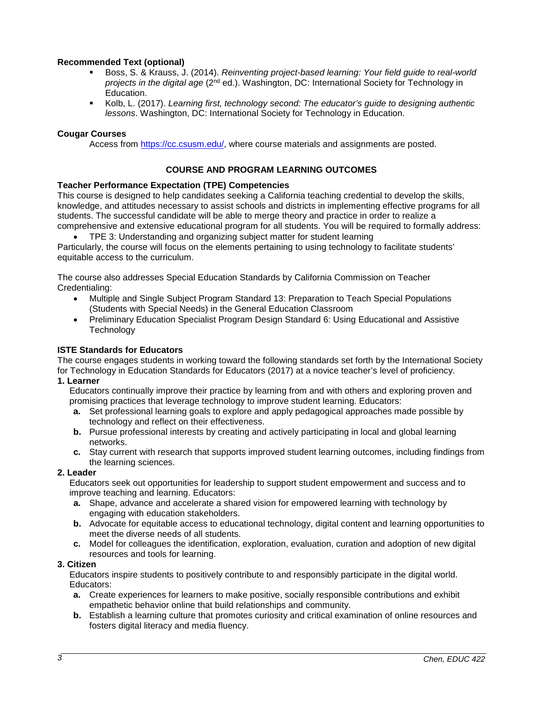## **Recommended Text (optional)**

- Boss, S. & Krauss, J. (2014). *Reinventing project-based learning: Your field guide to real-world projects in the digital age* (2nd ed.). Washington, DC: International Society for Technology in Education.
- Kolb, L. (2017). *Learning first, technology second: The educator's guide to designing authentic lessons*. Washington, DC: International Society for Technology in Education.

#### **Cougar Courses**

Access from [https://cc.csusm.edu/,](https://cc.csusm.edu/) where course materials and assignments are posted.

### **COURSE AND PROGRAM LEARNING OUTCOMES**

#### **Teacher Performance Expectation (TPE) Competencies**

This course is designed to help candidates seeking a California teaching credential to develop the skills, knowledge, and attitudes necessary to assist schools and districts in implementing effective programs for all students. The successful candidate will be able to merge theory and practice in order to realize a comprehensive and extensive educational program for all students. You will be required to formally address:

• TPE 3: Understanding and organizing subject matter for student learning Particularly, the course will focus on the elements pertaining to using technology to facilitate students' equitable access to the curriculum.

The course also addresses Special Education Standards by California Commission on Teacher Credentialing:

- Multiple and Single Subject Program Standard 13: Preparation to Teach Special Populations (Students with Special Needs) in the General Education Classroom
- Preliminary Education Specialist Program Design Standard 6: Using Educational and Assistive **Technology**

#### **ISTE Standards for Educators**

The course engages students in working toward the following standards set forth by the International Society for Technology in Education Standards for Educators (2017) at a novice teacher's level of proficiency.

#### **1. Learner**

Educators continually improve their practice by learning from and with others and exploring proven and promising practices that leverage technology to improve student learning. Educators:

- **a.** Set professional learning goals to explore and apply pedagogical approaches made possible by technology and reflect on their effectiveness.
- **b.** Pursue professional interests by creating and actively participating in local and global learning networks.
- **c.** Stay current with research that supports improved student learning outcomes, including findings from the learning sciences.

#### **2. Leader**

Educators seek out opportunities for leadership to support student empowerment and success and to improve teaching and learning. Educators:

- **a.** Shape, advance and accelerate a shared vision for empowered learning with technology by engaging with education stakeholders.
- **b.** Advocate for equitable access to educational technology, digital content and learning opportunities to meet the diverse needs of all students.
- **c.** Model for colleagues the identification, exploration, evaluation, curation and adoption of new digital resources and tools for learning.

#### **3. Citizen**

Educators inspire students to positively contribute to and responsibly participate in the digital world. Educators:

- **a.** Create experiences for learners to make positive, socially responsible contributions and exhibit empathetic behavior online that build relationships and community.
- **b.** Establish a learning culture that promotes curiosity and critical examination of online resources and fosters digital literacy and media fluency.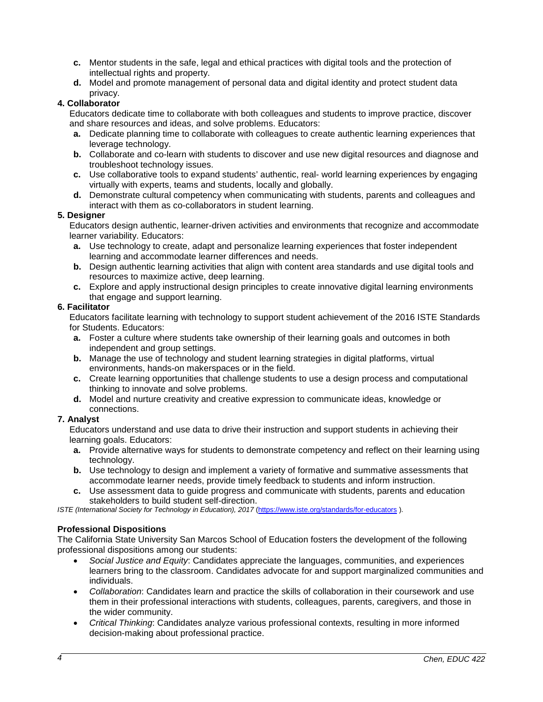- **c.** Mentor students in the safe, legal and ethical practices with digital tools and the protection of intellectual rights and property.
- **d.** Model and promote management of personal data and digital identity and protect student data privacy.

## **4. Collaborator**

Educators dedicate time to collaborate with both colleagues and students to improve practice, discover and share resources and ideas, and solve problems. Educators:

- **a.** Dedicate planning time to collaborate with colleagues to create authentic learning experiences that leverage technology.
- **b.** Collaborate and co-learn with students to discover and use new digital resources and diagnose and troubleshoot technology issues.
- **c.** Use collaborative tools to expand students' authentic, real- world learning experiences by engaging virtually with experts, teams and students, locally and globally.
- **d.** Demonstrate cultural competency when communicating with students, parents and colleagues and interact with them as co-collaborators in student learning.

### **5. Designer**

Educators design authentic, learner-driven activities and environments that recognize and accommodate learner variability. Educators:

- **a.** Use technology to create, adapt and personalize learning experiences that foster independent learning and accommodate learner differences and needs.
- **b.** Design authentic learning activities that align with content area standards and use digital tools and resources to maximize active, deep learning.
- **c.** Explore and apply instructional design principles to create innovative digital learning environments that engage and support learning.

## **6. Facilitator**

Educators facilitate learning with technology to support student achievement of the 2016 ISTE Standards for Students. Educators:

- **a.** Foster a culture where students take ownership of their learning goals and outcomes in both independent and group settings.
- **b.** Manage the use of technology and student learning strategies in digital platforms, virtual environments, hands-on makerspaces or in the field.
- **c.** Create learning opportunities that challenge students to use a design process and computational thinking to innovate and solve problems.
- **d.** Model and nurture creativity and creative expression to communicate ideas, knowledge or connections.

### **7. Analyst**

Educators understand and use data to drive their instruction and support students in achieving their learning goals. Educators:

- **a.** Provide alternative ways for students to demonstrate competency and reflect on their learning using technology.
- **b.** Use technology to design and implement a variety of formative and summative assessments that accommodate learner needs, provide timely feedback to students and inform instruction.
- **c.** Use assessment data to guide progress and communicate with students, parents and education stakeholders to build student self-direction.

*ISTE (International Society for Technology in Education), 2017* [\(https://www.iste.org/standards/for-educators](https://www.iste.org/standards/for-educators) ).

## **Professional Dispositions**

The California State University San Marcos School of Education fosters the development of the following professional dispositions among our students:

- *Social Justice and Equity*: Candidates appreciate the languages, communities, and experiences learners bring to the classroom. Candidates advocate for and support marginalized communities and individuals.
- *Collaboration*: Candidates learn and practice the skills of collaboration in their coursework and use them in their professional interactions with students, colleagues, parents, caregivers, and those in the wider community.
- *Critical Thinking*: Candidates analyze various professional contexts, resulting in more informed decision-making about professional practice.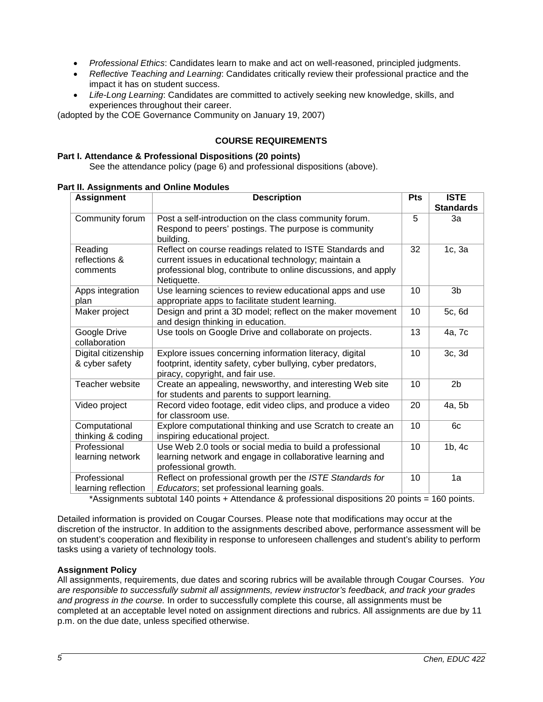- *Professional Ethics*: Candidates learn to make and act on well-reasoned, principled judgments.
- *Reflective Teaching and Learning*: Candidates critically review their professional practice and the impact it has on student success.
- *Life-Long Learning*: Candidates are committed to actively seeking new knowledge, skills, and experiences throughout their career.

(adopted by the COE Governance Community on January 19, 2007)

## **COURSE REQUIREMENTS**

#### **Part I. Attendance & Professional Dispositions (20 points)**

See the attendance policy (page 6) and professional dispositions (above).

| <b>Assignment</b>                     | <b>Description</b>                                                                                                                                                                                | <b>Pts</b> | <b>ISTE</b>      |
|---------------------------------------|---------------------------------------------------------------------------------------------------------------------------------------------------------------------------------------------------|------------|------------------|
|                                       |                                                                                                                                                                                                   |            | <b>Standards</b> |
| Community forum                       | Post a self-introduction on the class community forum.<br>Respond to peers' postings. The purpose is community<br>building.                                                                       | 5          | За               |
| Reading<br>reflections &<br>comments  | Reflect on course readings related to ISTE Standards and<br>current issues in educational technology; maintain a<br>professional blog, contribute to online discussions, and apply<br>Netiquette. | 32         | 1c, 3a           |
| Apps integration<br>plan              | Use learning sciences to review educational apps and use<br>appropriate apps to facilitate student learning.                                                                                      | 10         | 3 <sub>b</sub>   |
| Maker project                         | Design and print a 3D model; reflect on the maker movement<br>and design thinking in education.                                                                                                   | 10         | 5c, 6d           |
| Google Drive<br>collaboration         | Use tools on Google Drive and collaborate on projects.                                                                                                                                            | 13         | 4a, 7c           |
| Digital citizenship<br>& cyber safety | Explore issues concerning information literacy, digital<br>footprint, identity safety, cyber bullying, cyber predators,<br>piracy, copyright, and fair use.                                       | 10         | 3c, 3d           |
| Teacher website                       | Create an appealing, newsworthy, and interesting Web site<br>for students and parents to support learning.                                                                                        | 10         | 2 <sub>b</sub>   |
| Video project                         | Record video footage, edit video clips, and produce a video<br>for classroom use.                                                                                                                 | 20         | 4a, 5b           |
| Computational<br>thinking & coding    | Explore computational thinking and use Scratch to create an<br>inspiring educational project.                                                                                                     | 10         | 6c               |
| Professional<br>learning network      | Use Web 2.0 tools or social media to build a professional<br>learning network and engage in collaborative learning and<br>professional growth.                                                    | 10         | 1b, 4c           |
| Professional<br>learning reflection   | Reflect on professional growth per the ISTE Standards for<br>Educators; set professional learning goals.                                                                                          | 10         | 1a               |

\*Assignments subtotal 140 points + Attendance & professional dispositions 20 points = 160 points.

Detailed information is provided on Cougar Courses. Please note that modifications may occur at the discretion of the instructor. In addition to the assignments described above, performance assessment will be on student's cooperation and flexibility in response to unforeseen challenges and student's ability to perform tasks using a variety of technology tools.

#### **Assignment Policy**

All assignments, requirements, due dates and scoring rubrics will be available through Cougar Courses. *You are responsible to successfully submit all assignments, review instructor's feedback, and track your grades and progress in the course.* In order to successfully complete this course, all assignments must be completed at an acceptable level noted on assignment directions and rubrics. All assignments are due by 11 p.m. on the due date, unless specified otherwise.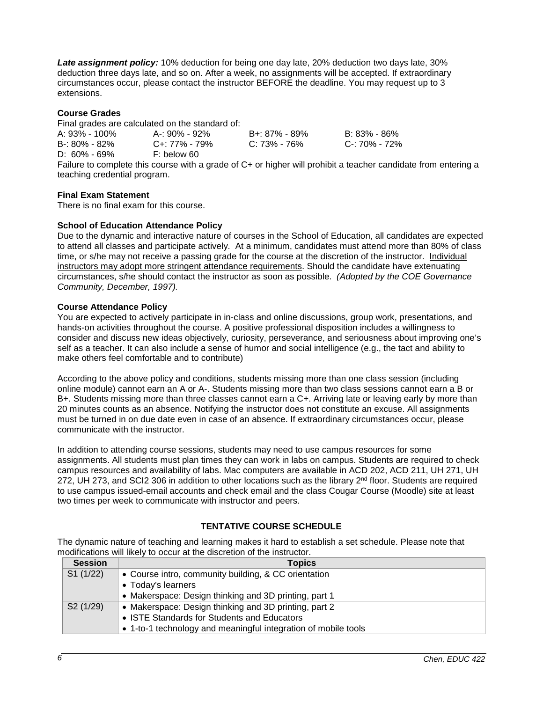*Late assignment policy:* 10% deduction for being one day late, 20% deduction two days late, 30% deduction three days late, and so on. After a week, no assignments will be accepted. If extraordinary circumstances occur, please contact the instructor BEFORE the deadline. You may request up to 3 extensions.

### **Course Grades**

Final grades are calculated on the standard of:

| A: 93% - 100%    | A-: 90% - 92% | B+: 87% - 89%   | B: 83% - 86%  |
|------------------|---------------|-----------------|---------------|
| B-: 80% - 82%    | C+: 77% - 79% | $C: 73\%$ - 76% | C-: 70% - 72% |
| $D: 60\% - 69\%$ | F: below 60   |                 |               |
|                  |               |                 |               |

Failure to complete this course with a grade of C+ or higher will prohibit a teacher candidate from entering a teaching credential program.

### **Final Exam Statement**

There is no final exam for this course.

#### **School of Education Attendance Policy**

Due to the dynamic and interactive nature of courses in the School of Education, all candidates are expected to attend all classes and participate actively. At a minimum, candidates must attend more than 80% of class time, or s/he may not receive a passing grade for the course at the discretion of the instructor. Individual instructors may adopt more stringent attendance requirements. Should the candidate have extenuating circumstances, s/he should contact the instructor as soon as possible. *(Adopted by the COE Governance Community, December, 1997).*

#### **Course Attendance Policy**

You are expected to actively participate in in-class and online discussions, group work, presentations, and hands-on activities throughout the course. A positive professional disposition includes a willingness to consider and discuss new ideas objectively, curiosity, perseverance, and seriousness about improving one's self as a teacher. It can also include a sense of humor and social intelligence (e.g., the tact and ability to make others feel comfortable and to contribute)

According to the above policy and conditions, students missing more than one class session (including online module) cannot earn an A or A-. Students missing more than two class sessions cannot earn a B or B+. Students missing more than three classes cannot earn a C+. Arriving late or leaving early by more than 20 minutes counts as an absence. Notifying the instructor does not constitute an excuse. All assignments must be turned in on due date even in case of an absence. If extraordinary circumstances occur, please communicate with the instructor.

In addition to attending course sessions, students may need to use campus resources for some assignments. All students must plan times they can work in labs on campus. Students are required to check campus resources and availability of labs. Mac computers are available in ACD 202, ACD 211, UH 271, UH 272, UH 273, and SCI2 306 in addition to other locations such as the library 2<sup>nd</sup> floor. Students are required to use campus issued-email accounts and check email and the class Cougar Course (Moodle) site at least two times per week to communicate with instructor and peers.

## **TENTATIVE COURSE SCHEDULE**

The dynamic nature of teaching and learning makes it hard to establish a set schedule. Please note that modifications will likely to occur at the discretion of the instructor.

| <b>Session</b>        | <b>Topics</b>                                                  |
|-----------------------|----------------------------------------------------------------|
| S1(1/22)              | • Course intro, community building, & CC orientation           |
|                       | • Today's learners                                             |
|                       | • Makerspace: Design thinking and 3D printing, part 1          |
| S <sub>2</sub> (1/29) | • Makerspace: Design thinking and 3D printing, part 2          |
|                       | • ISTE Standards for Students and Educators                    |
|                       | • 1-to-1 technology and meaningful integration of mobile tools |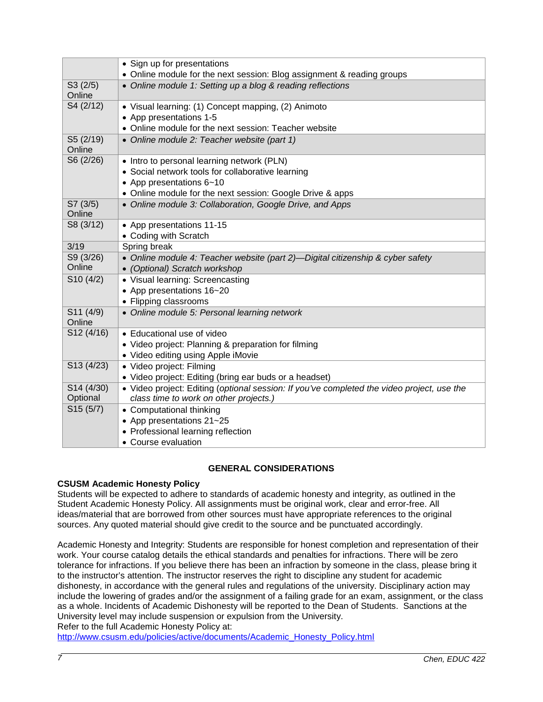|                        | • Sign up for presentations<br>• Online module for the next session: Blog assignment & reading groups                                                                                    |
|------------------------|------------------------------------------------------------------------------------------------------------------------------------------------------------------------------------------|
| S3(2/5)<br>Online      | • Online module 1: Setting up a blog & reading reflections                                                                                                                               |
| S4 (2/12)              | • Visual learning: (1) Concept mapping, (2) Animoto<br>• App presentations 1-5<br>• Online module for the next session: Teacher website                                                  |
| S5 (2/19)<br>Online    | • Online module 2: Teacher website (part 1)                                                                                                                                              |
| S6 (2/26)              | • Intro to personal learning network (PLN)<br>• Social network tools for collaborative learning<br>• App presentations 6~10<br>• Online module for the next session: Google Drive & apps |
| S7(3/5)<br>Online      | • Online module 3: Collaboration, Google Drive, and Apps                                                                                                                                 |
| S8 (3/12)              | • App presentations 11-15<br>• Coding with Scratch                                                                                                                                       |
| 3/19                   | Spring break                                                                                                                                                                             |
| S9 (3/26)<br>Online    | • Online module 4: Teacher website (part 2)-Digital citizenship & cyber safety<br>• (Optional) Scratch workshop                                                                          |
| S10(4/2)               | • Visual learning: Screencasting<br>• App presentations 16~20<br>• Flipping classrooms                                                                                                   |
| S11 (4/9)<br>Online    | • Online module 5: Personal learning network                                                                                                                                             |
| S12 (4/16)             | • Educational use of video<br>• Video project: Planning & preparation for filming<br>• Video editing using Apple iMovie                                                                  |
| S13 (4/23)             | · Video project: Filming<br>• Video project: Editing (bring ear buds or a headset)                                                                                                       |
| S14 (4/30)<br>Optional | • Video project: Editing (optional session: If you've completed the video project, use the<br>class time to work on other projects.)                                                     |
| S15(5/7)               | • Computational thinking<br>• App presentations 21~25<br>• Professional learning reflection<br>• Course evaluation                                                                       |

# **GENERAL CONSIDERATIONS**

# **CSUSM Academic Honesty Policy**

Students will be expected to adhere to standards of academic honesty and integrity, as outlined in the Student Academic Honesty Policy. All assignments must be original work, clear and error-free. All ideas/material that are borrowed from other sources must have appropriate references to the original sources. Any quoted material should give credit to the source and be punctuated accordingly.

Academic Honesty and Integrity: Students are responsible for honest completion and representation of their work. Your course catalog details the ethical standards and penalties for infractions. There will be zero tolerance for infractions. If you believe there has been an infraction by someone in the class, please bring it to the instructor's attention. The instructor reserves the right to discipline any student for academic dishonesty, in accordance with the general rules and regulations of the university. Disciplinary action may include the lowering of grades and/or the assignment of a failing grade for an exam, assignment, or the class as a whole. Incidents of Academic Dishonesty will be reported to the Dean of Students. Sanctions at the University level may include suspension or expulsion from the University. Refer to the full Academic Honesty Policy at:

[http://www.csusm.edu/policies/active/documents/Academic\\_Honesty\\_Policy.html](http://www.csusm.edu/policies/active/documents/Academic_Honesty_Policy.html)